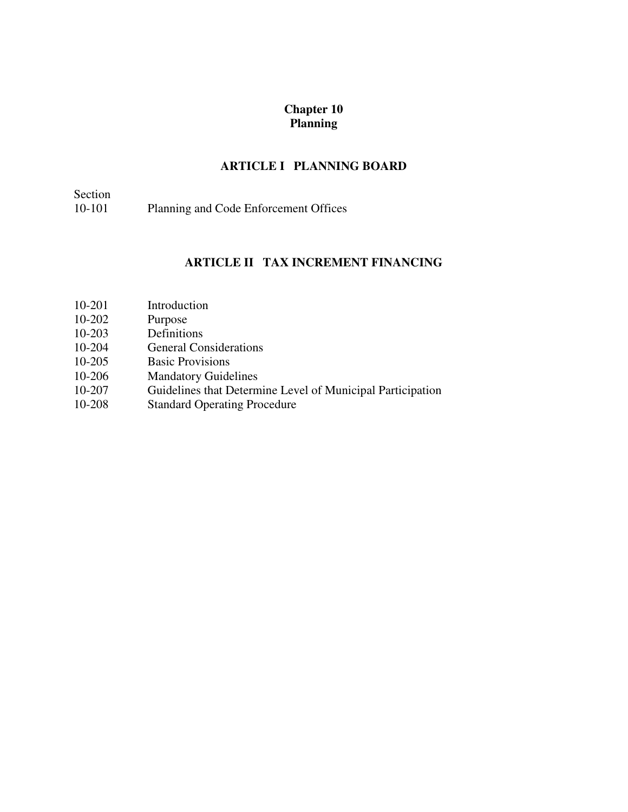## **Chapter 10 Planning**

# **ARTICLE I PLANNING BOARD**

| Section |                                       |
|---------|---------------------------------------|
| 10-101  | Planning and Code Enforcement Offices |

## **ARTICLE II TAX INCREMENT FINANCING**

- 10-201 Introduction
- 10-202 Purpose<br>10-203 Definitio
- Definitions
- 10-204 General Considerations<br>10-205 Basic Provisions
- **Basic Provisions**
- 10-206 Mandatory Guidelines
- 10-207 Guidelines that Determine Level of Municipal Participation
- 10-208 Standard Operating Procedure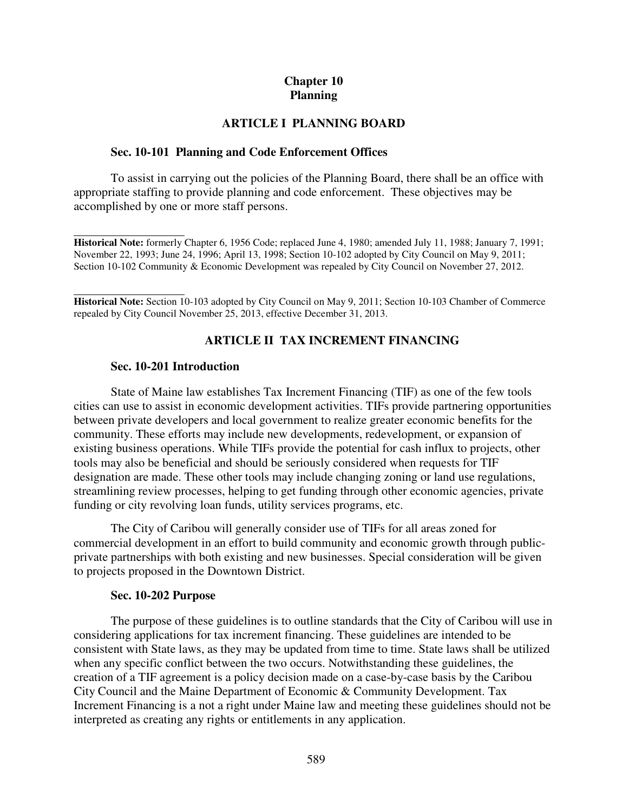## **Chapter 10 Planning**

### **ARTICLE I PLANNING BOARD**

### **Sec. 10-101 Planning and Code Enforcement Offices**

 To assist in carrying out the policies of the Planning Board, there shall be an office with appropriate staffing to provide planning and code enforcement. These objectives may be accomplished by one or more staff persons.

 $\overline{a}$ **Historical Note:** formerly Chapter 6, 1956 Code; replaced June 4, 1980; amended July 11, 1988; January 7, 1991; November 22, 1993; June 24, 1996; April 13, 1998; Section 10-102 adopted by City Council on May 9, 2011; Section 10-102 Community & Economic Development was repealed by City Council on November 27, 2012.

l **Historical Note:** Section 10-103 adopted by City Council on May 9, 2011; Section 10-103 Chamber of Commerce repealed by City Council November 25, 2013, effective December 31, 2013.

### **ARTICLE II TAX INCREMENT FINANCING**

### **Sec. 10-201 Introduction**

State of Maine law establishes Tax Increment Financing (TIF) as one of the few tools cities can use to assist in economic development activities. TIFs provide partnering opportunities between private developers and local government to realize greater economic benefits for the community. These efforts may include new developments, redevelopment, or expansion of existing business operations. While TIFs provide the potential for cash influx to projects, other tools may also be beneficial and should be seriously considered when requests for TIF designation are made. These other tools may include changing zoning or land use regulations, streamlining review processes, helping to get funding through other economic agencies, private funding or city revolving loan funds, utility services programs, etc.

The City of Caribou will generally consider use of TIFs for all areas zoned for commercial development in an effort to build community and economic growth through publicprivate partnerships with both existing and new businesses. Special consideration will be given to projects proposed in the Downtown District.

#### **Sec. 10-202 Purpose**

The purpose of these guidelines is to outline standards that the City of Caribou will use in considering applications for tax increment financing. These guidelines are intended to be consistent with State laws, as they may be updated from time to time. State laws shall be utilized when any specific conflict between the two occurs. Notwithstanding these guidelines, the creation of a TIF agreement is a policy decision made on a case-by-case basis by the Caribou City Council and the Maine Department of Economic & Community Development. Tax Increment Financing is a not a right under Maine law and meeting these guidelines should not be interpreted as creating any rights or entitlements in any application.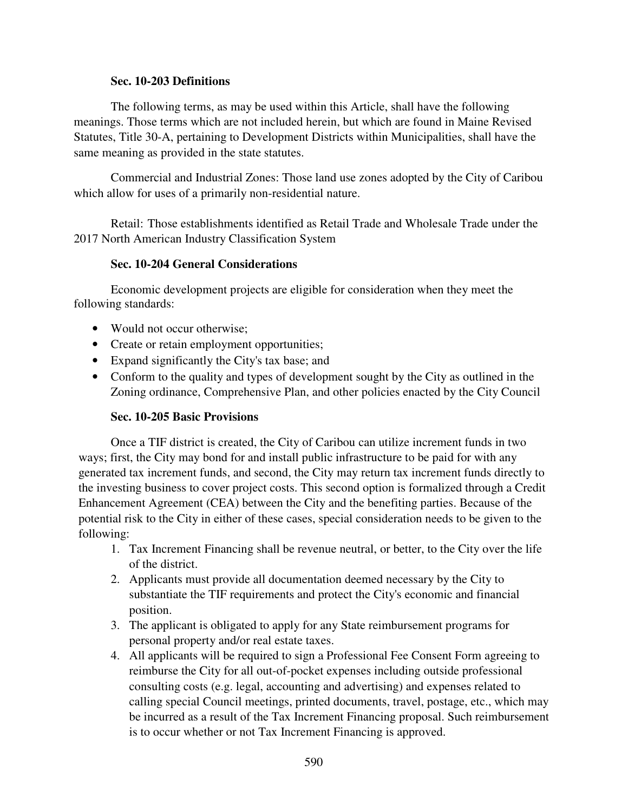### **Sec. 10-203 Definitions**

The following terms, as may be used within this Article, shall have the following meanings. Those terms which are not included herein, but which are found in Maine Revised Statutes, Title 30-A, pertaining to Development Districts within Municipalities, shall have the same meaning as provided in the state statutes.

Commercial and Industrial Zones: Those land use zones adopted by the City of Caribou which allow for uses of a primarily non-residential nature.

Retail: Those establishments identified as Retail Trade and Wholesale Trade under the 2017 North American Industry Classification System

### **Sec. 10-204 General Considerations**

Economic development projects are eligible for consideration when they meet the following standards:

- Would not occur otherwise:
- Create or retain employment opportunities;
- Expand significantly the City's tax base; and
- Conform to the quality and types of development sought by the City as outlined in the Zoning ordinance, Comprehensive Plan, and other policies enacted by the City Council

### **Sec. 10-205 Basic Provisions**

Once a TIF district is created, the City of Caribou can utilize increment funds in two ways; first, the City may bond for and install public infrastructure to be paid for with any generated tax increment funds, and second, the City may return tax increment funds directly to the investing business to cover project costs. This second option is formalized through a Credit Enhancement Agreement (CEA) between the City and the benefiting parties. Because of the potential risk to the City in either of these cases, special consideration needs to be given to the following:

- 1. Tax Increment Financing shall be revenue neutral, or better, to the City over the life of the district.
- 2. Applicants must provide all documentation deemed necessary by the City to substantiate the TIF requirements and protect the City's economic and financial position.
- 3. The applicant is obligated to apply for any State reimbursement programs for personal property and/or real estate taxes.
- 4. All applicants will be required to sign a Professional Fee Consent Form agreeing to reimburse the City for all out-of-pocket expenses including outside professional consulting costs (e.g. legal, accounting and advertising) and expenses related to calling special Council meetings, printed documents, travel, postage, etc., which may be incurred as a result of the Tax Increment Financing proposal. Such reimbursement is to occur whether or not Tax Increment Financing is approved.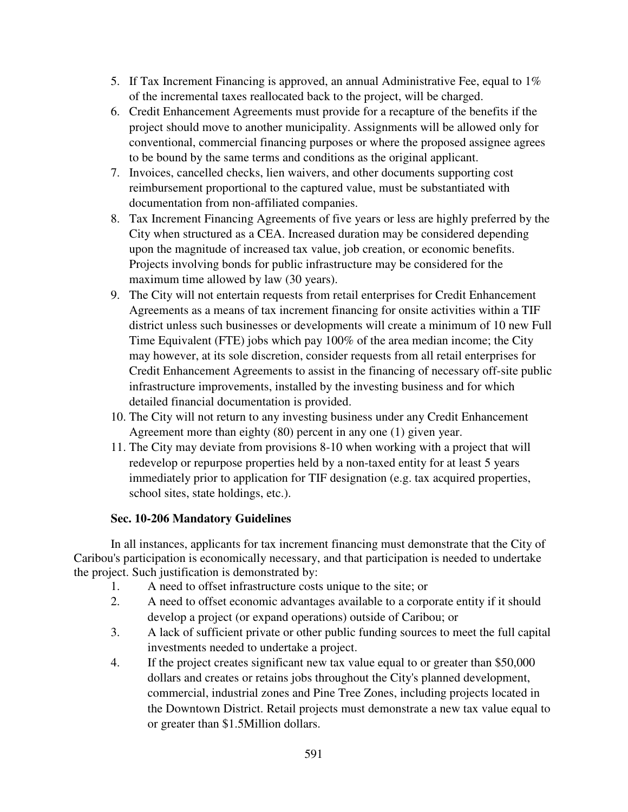- 5. If Tax Increment Financing is approved, an annual Administrative Fee, equal to 1% of the incremental taxes reallocated back to the project, will be charged.
- 6. Credit Enhancement Agreements must provide for a recapture of the benefits if the project should move to another municipality. Assignments will be allowed only for conventional, commercial financing purposes or where the proposed assignee agrees to be bound by the same terms and conditions as the original applicant.
- 7. Invoices, cancelled checks, lien waivers, and other documents supporting cost reimbursement proportional to the captured value, must be substantiated with documentation from non-affiliated companies.
- 8. Tax Increment Financing Agreements of five years or less are highly preferred by the City when structured as a CEA. Increased duration may be considered depending upon the magnitude of increased tax value, job creation, or economic benefits. Projects involving bonds for public infrastructure may be considered for the maximum time allowed by law (30 years).
- 9. The City will not entertain requests from retail enterprises for Credit Enhancement Agreements as a means of tax increment financing for onsite activities within a TIF district unless such businesses or developments will create a minimum of 10 new Full Time Equivalent (FTE) jobs which pay 100% of the area median income; the City may however, at its sole discretion, consider requests from all retail enterprises for Credit Enhancement Agreements to assist in the financing of necessary off-site public infrastructure improvements, installed by the investing business and for which detailed financial documentation is provided.
- 10. The City will not return to any investing business under any Credit Enhancement Agreement more than eighty (80) percent in any one (1) given year.
- 11. The City may deviate from provisions 8-10 when working with a project that will redevelop or repurpose properties held by a non-taxed entity for at least 5 years immediately prior to application for TIF designation (e.g. tax acquired properties, school sites, state holdings, etc.).

## **Sec. 10-206 Mandatory Guidelines**

In all instances, applicants for tax increment financing must demonstrate that the City of Caribou's participation is economically necessary, and that participation is needed to undertake the project. Such justification is demonstrated by:

- 1. A need to offset infrastructure costs unique to the site; or
- 2. A need to offset economic advantages available to a corporate entity if it should develop a project (or expand operations) outside of Caribou; or
- 3. A lack of sufficient private or other public funding sources to meet the full capital investments needed to undertake a project.
- 4. If the project creates significant new tax value equal to or greater than \$50,000 dollars and creates or retains jobs throughout the City's planned development, commercial, industrial zones and Pine Tree Zones, including projects located in the Downtown District. Retail projects must demonstrate a new tax value equal to or greater than \$1.5Million dollars.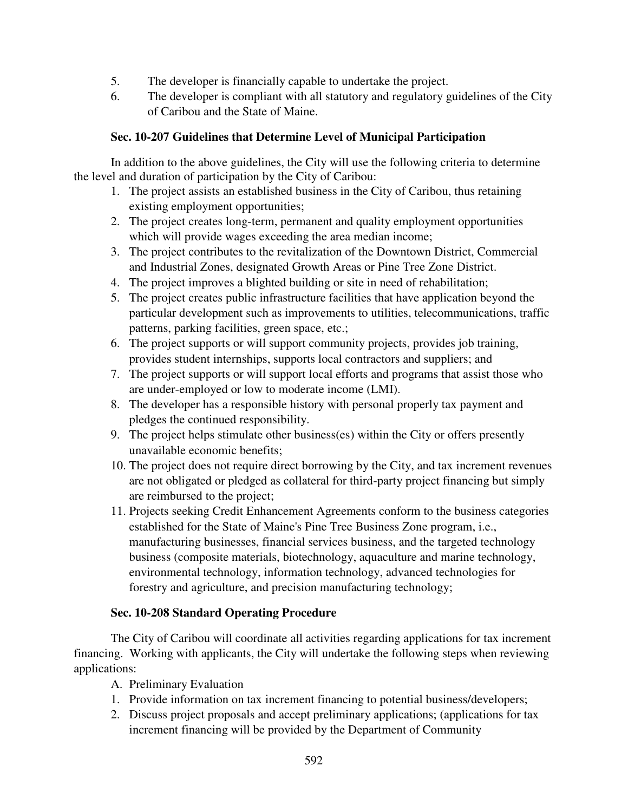- 5. The developer is financially capable to undertake the project.
- 6. The developer is compliant with all statutory and regulatory guidelines of the City of Caribou and the State of Maine.

# **Sec. 10-207 Guidelines that Determine Level of Municipal Participation**

In addition to the above guidelines, the City will use the following criteria to determine the level and duration of participation by the City of Caribou:

- 1. The project assists an established business in the City of Caribou, thus retaining existing employment opportunities;
- 2. The project creates long-term, permanent and quality employment opportunities which will provide wages exceeding the area median income;
- 3. The project contributes to the revitalization of the Downtown District, Commercial and Industrial Zones, designated Growth Areas or Pine Tree Zone District.
- 4. The project improves a blighted building or site in need of rehabilitation;
- 5. The project creates public infrastructure facilities that have application beyond the particular development such as improvements to utilities, telecommunications, traffic patterns, parking facilities, green space, etc.;
- 6. The project supports or will support community projects, provides job training, provides student internships, supports local contractors and suppliers; and
- 7. The project supports or will support local efforts and programs that assist those who are under-employed or low to moderate income (LMI).
- 8. The developer has a responsible history with personal properly tax payment and pledges the continued responsibility.
- 9. The project helps stimulate other business(es) within the City or offers presently unavailable economic benefits;
- 10. The project does not require direct borrowing by the City, and tax increment revenues are not obligated or pledged as collateral for third-party project financing but simply are reimbursed to the project;
- 11. Projects seeking Credit Enhancement Agreements conform to the business categories established for the State of Maine's Pine Tree Business Zone program, i.e., manufacturing businesses, financial services business, and the targeted technology business (composite materials, biotechnology, aquaculture and marine technology, environmental technology, information technology, advanced technologies for forestry and agriculture, and precision manufacturing technology;

## **Sec. 10-208 Standard Operating Procedure**

The City of Caribou will coordinate all activities regarding applications for tax increment financing. Working with applicants, the City will undertake the following steps when reviewing applications:

- A. Preliminary Evaluation
- 1. Provide information on tax increment financing to potential business/developers;
- 2. Discuss project proposals and accept preliminary applications; (applications for tax increment financing will be provided by the Department of Community